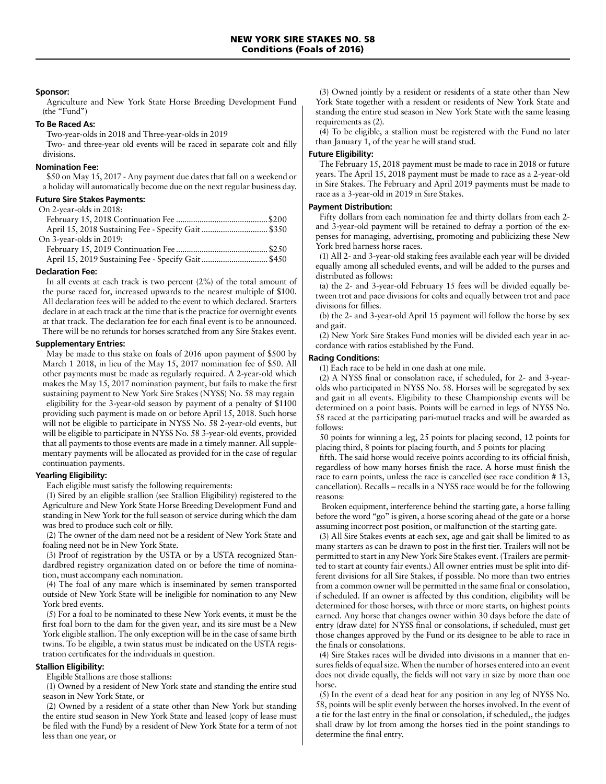### **Sponsor:**

Agriculture and New York State Horse Breeding Development Fund (the "Fund")

# **To Be Raced As:**

Two-year-olds in 2018 and Three-year-olds in 2019

Two- and three-year old events will be raced in separate colt and filly divisions.

### **Nomination Fee:**

\$50 on May 15, 2017 - Any payment due dates that fall on a weekend or a holiday will automatically become due on the next regular business day.

## **Future Sire Stakes Payments:**

| On 2-year-olds in 2018: |  |
|-------------------------|--|
|                         |  |
|                         |  |
| On 3-year-olds in 2019: |  |
|                         |  |
|                         |  |

## **Declaration Fee:**

In all events at each track is two percent (2%) of the total amount of the purse raced for, increased upwards to the nearest multiple of \$100. All declaration fees will be added to the event to which declared. Starters declare in at each track at the time that is the practice for overnight events at that track. The declaration fee for each final event is to be announced. There will be no refunds for horses scratched from any Sire Stakes event.

# **Supplementary Entries:**

May be made to this stake on foals of 2016 upon payment of \$500 by March 1 2018, in lieu of the May 15, 2017 nomination fee of \$50. All other payments must be made as regularly required. A 2-year-old which makes the May 15, 2017 nomination payment, but fails to make the first sustaining payment to New York Sire Stakes (NYSS) No. 58 may regain eligibility for the 3-year-old season by payment of a penalty of \$1100 providing such payment is made on or before April 15, 2018. Such horse will not be eligible to participate in NYSS No. 58 2-year-old events, but will be eligible to participate in NYSS No. 58 3-year-old events, provided that all payments to those events are made in a timely manner. All supplementary payments will be allocated as provided for in the case of regular continuation payments.

# **Yearling Eligibility:**

Each eligible must satisfy the following requirements:

(1) Sired by an eligible stallion (see Stallion Eligibility) registered to the Agriculture and New York State Horse Breeding Development Fund and standing in New York for the full season of service during which the dam was bred to produce such colt or filly.

(2) The owner of the dam need not be a resident of New York State and foaling need not be in New York State.

(3) Proof of registration by the USTA or by a USTA recognized Standardbred registry organization dated on or before the time of nomination, must accompany each nomination.

(4) The foal of any mare which is inseminated by semen transported outside of New York State will be ineligible for nomination to any New York bred events.

(5) For a foal to be nominated to these New York events, it must be the first foal born to the dam for the given year, and its sire must be a New York eligible stallion. The only exception will be in the case of same birth twins. To be eligible, a twin status must be indicated on the USTA registration certificates for the individuals in question.

## **Stallion Eligibility:**

Eligible Stallions are those stallions:

(1) Owned by a resident of New York state and standing the entire stud season in New York State, or

(2) Owned by a resident of a state other than New York but standing the entire stud season in New York State and leased (copy of lease must be filed with the Fund) by a resident of New York State for a term of not less than one year, or

(3) Owned jointly by a resident or residents of a state other than New York State together with a resident or residents of New York State and standing the entire stud season in New York State with the same leasing requirements as (2).

(4) To be eligible, a stallion must be registered with the Fund no later than January 1, of the year he will stand stud.

### **Future Eligibility:**

The February 15, 2018 payment must be made to race in 2018 or future years. The April 15, 2018 payment must be made to race as a 2-year-old in Sire Stakes. The February and April 2019 payments must be made to race as a 3-year-old in 2019 in Sire Stakes.

# **Payment Distribution:**

Fifty dollars from each nomination fee and thirty dollars from each 2 and 3-year-old payment will be retained to defray a portion of the expenses for managing, advertising, promoting and publicizing these New York bred harness horse races.

(1) All 2- and 3-year-old staking fees available each year will be divided equally among all scheduled events, and will be added to the purses and distributed as follows:

(a) the 2- and 3-year-old February 15 fees will be divided equally between trot and pace divisions for colts and equally between trot and pace divisions for fillies.

(b) the 2- and 3-year-old April 15 payment will follow the horse by sex and gait.

(2) New York Sire Stakes Fund monies will be divided each year in accordance with ratios established by the Fund.

# **Racing Conditions:**

(1) Each race to be held in one dash at one mile.

(2) A NYSS final or consolation race, if scheduled, for 2- and 3-yearolds who participated in NYSS No. 58. Horses will be segregated by sex and gait in all events. Eligibility to these Championship events will be determined on a point basis. Points will be earned in legs of NYSS No. 58 raced at the participating pari-mutuel tracks and will be awarded as follows:

50 points for winning a leg, 25 points for placing second, 12 points for placing third, 8 points for placing fourth, and 5 points for placing

fifth. The said horse would receive points according to its official finish, regardless of how many horses finish the race. A horse must finish the race to earn points, unless the race is cancelled (see race condition # 13, cancellation). Recalls – recalls in a NYSS race would be for the following reasons:

 Broken equipment, interference behind the starting gate, a horse falling before the word "go" is given, a horse scoring ahead of the gate or a horse assuming incorrect post position, or malfunction of the starting gate.

(3) All Sire Stakes events at each sex, age and gait shall be limited to as many starters as can be drawn to post in the first tier. Trailers will not be permitted to start in any New York Sire Stakes event. (Trailers are permitted to start at county fair events.) All owner entries must be split into different divisions for all Sire Stakes, if possible. No more than two entries from a common owner will be permitted in the same final or consolation, if scheduled. If an owner is affected by this condition, eligibility will be determined for those horses, with three or more starts, on highest points earned. Any horse that changes owner within 30 days before the date of entry (draw date) for NYSS final or consolations, if scheduled, must get those changes approved by the Fund or its designee to be able to race in the finals or consolations.

(4) Sire Stakes races will be divided into divisions in a manner that ensures fields of equal size. When the number of horses entered into an event does not divide equally, the fields will not vary in size by more than one horse.

(5) In the event of a dead heat for any position in any leg of NYSS No. 58, points will be split evenly between the horses involved. In the event of a tie for the last entry in the final or consolation, if scheduled,, the judges shall draw by lot from among the horses tied in the point standings to determine the final entry.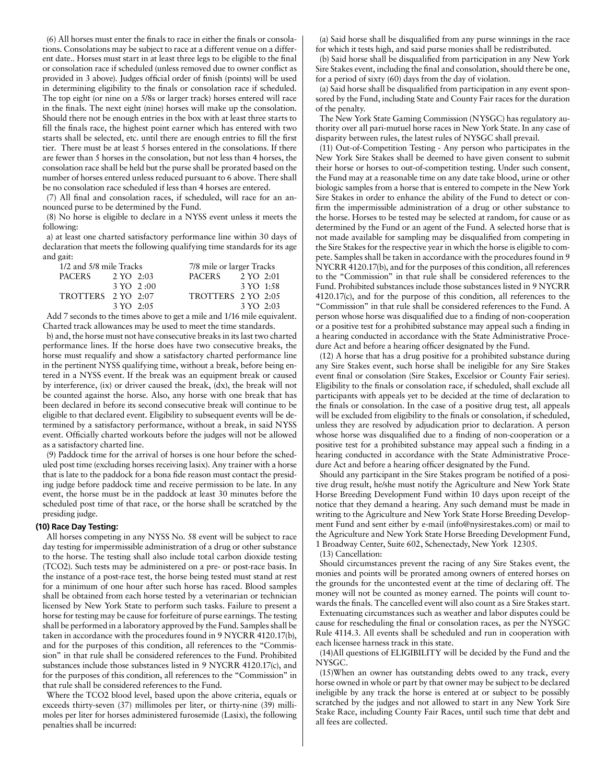(6) All horses must enter the finals to race in either the finals or consolations. Consolations may be subject to race at a different venue on a different date.. Horses must start in at least three legs to be eligible to the final or consolation race if scheduled (unless removed due to owner conflict as provided in 3 above). Judges official order of finish (points) will be used in determining eligibility to the finals or consolation race if scheduled. The top eight (or nine on a 5/8s or larger track) horses entered will race in the finals. The next eight (nine) horses will make up the consolation. Should there not be enough entries in the box with at least three starts to fill the finals race, the highest point earner which has entered with two starts shall be selected, etc. until there are enough entries to fill the first tier. There must be at least 5 horses entered in the consolations. If there are fewer than 5 horses in the consolation, but not less than 4 horses, the consolation race shall be held but the purse shall be prorated based on the number of horses entered unless reduced pursuant to 6 above. There shall be no consolation race scheduled if less than 4 horses are entered.

(7) All final and consolation races, if scheduled, will race for an announced purse to be determined by the Fund.

(8) No horse is eligible to declare in a NYSS event unless it meets the following:

a) at least one charted satisfactory performance line within 30 days of declaration that meets the following qualifying time standards for its age and gait:

|                    | 1/2 and 5/8 mile Tracks<br>7/8 mile or larger Tracks |                    |           |
|--------------------|------------------------------------------------------|--------------------|-----------|
| <b>PACERS</b>      | $2 \text{ YO} \quad 2:03$                            | PACERS             | 2 YO 2:01 |
|                    | $3 \text{ YO} \quad 2:00$                            |                    | 3 YO 1:58 |
| TROTTERS 2 YO 2:07 |                                                      | TROTTERS 2 YO 2:05 |           |
|                    | $3 \text{ YO} \quad 2:05$                            |                    | 3 YO 2:03 |

Add 7 seconds to the times above to get a mile and 1/16 mile equivalent. Charted track allowances may be used to meet the time standards.

b) and, the horse must not have consecutive breaks in its last two charted performance lines. If the horse does have two consecutive breaks, the horse must requalify and show a satisfactory charted performance line in the pertinent NYSS qualifying time, without a break, before being entered in a NYSS event. If the break was an equipment break or caused by interference, (ix) or driver caused the break, (dx), the break will not be counted against the horse. Also, any horse with one break that has been declared in before its second consecutive break will continue to be eligible to that declared event. Eligibility to subsequent events will be determined by a satisfactory performance, without a break, in said NYSS event. Officially charted workouts before the judges will not be allowed as a satisfactory charted line.

(9) Paddock time for the arrival of horses is one hour before the scheduled post time (excluding horses receiving lasix). Any trainer with a horse that is late to the paddock for a bona fide reason must contact the presiding judge before paddock time and receive permission to be late. In any event, the horse must be in the paddock at least 30 minutes before the scheduled post time of that race, or the horse shall be scratched by the presiding judge.

#### **(10) Race Day Testing:**

All horses competing in any NYSS No. 58 event will be subject to race day testing for impermissible administration of a drug or other substance to the horse. The testing shall also include total carbon dioxide testing (TCO2). Such tests may be administered on a pre- or post-race basis. In the instance of a post-race test, the horse being tested must stand at rest for a minimum of one hour after such horse has raced. Blood samples shall be obtained from each horse tested by a veterinarian or technician licensed by New York State to perform such tasks. Failure to present a horse for testing may be cause for forfeiture of purse earnings. The testing shall be performed in a laboratory approved by the Fund. Samples shall be taken in accordance with the procedures found in 9 NYCRR 4120.17(b), and for the purposes of this condition, all references to the "Commission" in that rule shall be considered references to the Fund. Prohibited substances include those substances listed in 9 NYCRR 4120.17(c), and for the purposes of this condition, all references to the "Commission" in that rule shall be considered references to the Fund.

Where the TCO2 blood level, based upon the above criteria, equals or exceeds thirty-seven (37) millimoles per liter, or thirty-nine (39) millimoles per liter for horses administered furosemide (Lasix), the following penalties shall be incurred:

(a) Said horse shall be disqualified from any purse winnings in the race for which it tests high, and said purse monies shall be redistributed.

(b) Said horse shall be disqualified from participation in any New York Sire Stakes event, including the final and consolation, should there be one, for a period of sixty (60) days from the day of violation.

(a) Said horse shall be disqualified from participation in any event sponsored by the Fund, including State and County Fair races for the duration of the penalty.

The New York State Gaming Commission (NYSGC) has regulatory authority over all pari-mutuel horse races in New York State. In any case of disparity between rules, the latest rules of NYSGC shall prevail.

(11) Out-of-Competition Testing - Any person who participates in the New York Sire Stakes shall be deemed to have given consent to submit their horse or horses to out-of-competition testing. Under such consent, the Fund may at a reasonable time on any date take blood, urine or other biologic samples from a horse that is entered to compete in the New York Sire Stakes in order to enhance the ability of the Fund to detect or confirm the impermissible administration of a drug or other substance to the horse. Horses to be tested may be selected at random, for cause or as determined by the Fund or an agent of the Fund. A selected horse that is not made available for sampling may be disqualified from competing in the Sire Stakes for the respective year in which the horse is eligible to compete. Samples shall be taken in accordance with the procedures found in 9 NYCRR 4120.17(b), and for the purposes of this condition, all references to the "Commission" in that rule shall be considered references to the Fund. Prohibited substances include those substances listed in 9 NYCRR 4120.17(c), and for the purpose of this condition, all references to the "Commission" in that rule shall be considered references to the Fund. A person whose horse was disqualified due to a finding of non-cooperation or a positive test for a prohibited substance may appeal such a finding in a hearing conducted in accordance with the State Administrative Procedure Act and before a hearing officer designated by the Fund.

(12) A horse that has a drug positive for a prohibited substance during any Sire Stakes event, such horse shall be ineligible for any Sire Stakes event final or consolation (Sire Stakes, Excelsior or County Fair series). Eligibility to the finals or consolation race, if scheduled, shall exclude all participants with appeals yet to be decided at the time of declaration to the finals or consolation. In the case of a positive drug test, all appeals will be excluded from eligibility to the finals or consolation, if scheduled, unless they are resolved by adjudication prior to declaration. A person whose horse was disqualified due to a finding of non-cooperation or a positive test for a prohibited substance may appeal such a finding in a hearing conducted in accordance with the State Administrative Procedure Act and before a hearing officer designated by the Fund.

Should any participant in the Sire Stakes program be notified of a positive drug result, he/she must notify the Agriculture and New York State Horse Breeding Development Fund within 10 days upon receipt of the notice that they demand a hearing. Any such demand must be made in writing to the Agriculture and New York State Horse Breeding Development Fund and sent either by e-mail (info@nysirestakes.com) or mail to the Agriculture and New York State Horse Breeding Development Fund, 1 Broadway Center, Suite 602, Schenectady, New York 12305.

(13) Cancellation:

Should circumstances prevent the racing of any Sire Stakes event, the monies and points will be prorated among owners of entered horses on the grounds for the uncontested event at the time of declaring off. The money will not be counted as money earned. The points will count towards the finals. The cancelled event will also count as a Sire Stakes start.

Extenuating circumstances such as weather and labor disputes could be cause for rescheduling the final or consolation races, as per the NYSGC Rule 4114.3. All events shall be scheduled and run in cooperation with each licensee harness track in this state.

(14)All questions of ELIGIBILITY will be decided by the Fund and the NYSGC.

(15)When an owner has outstanding debts owed to any track, every horse owned in whole or part by that owner may be subject to be declared ineligible by any track the horse is entered at or subject to be possibly scratched by the judges and not allowed to start in any New York Sire Stake Race, including County Fair Races, until such time that debt and all fees are collected.